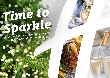# *Time to [Sparkle](https://brighton.hichristmas.co.uk) Book your Christmas Party and Events*

*at Holiday Inn® Brighton - Seafront*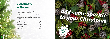Why not join us at the Holiday Inn Brighton - Seafront to celebrate Christmas 2022 in style?

Whether you're looking to organise a spectacular Christmas party for colleagues, a festive night out for friends or a celebratory feast with loved ones, we've got the perfect package for you.

### *Celebrate with us*



2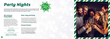#### *All-Inclusive Party Nights*

Our all-inclusive party nights include everything you need for the perfect festive night out! Enjoy a three-course meal, disco and drinks throughout the evening. The bar will offer you plenty of choice from house wine, house spirits & mixers, draught lager/beer, selected alcopops and soft drinks all included in the price. The all-inclusive bar is available from 8pm - 12am

#### **£49.95 per adult**

**Friday 23rd December Saturday 21st January**

# *[Party Nights](https://brighton.hichristmas.co.uk)*

Our festive party nights will be held in the Arundel suite which can accommodate up to 250 people and has it's own private bar area. All-Inclusive parties commence at 7.30pm, dinner served at 8.00pm, last orders at mid-night and carriages at 12.30am.



**£57.95 per adult**

**Fridays: 2nd, 9th & 16th December Saturdays: 3rd ,10th & 17th December**

#### *Meet, Stay and Party*

Work, rest and play! Join us throughout November, December or January with your colleagues for a full-day meeting, your choice of celebration in the evening, overnight accommodation and breakfast the following day. Plan your end-of-year meeting today! Please enquire for availability and pricing.

#### *Private Parties*

From intimate family gatherings to large corporate parties, we have functions rooms available to hire based on your requirements. Please contact us so we can help you plan your perfect celebration. Minimum numbers apply. Prices available upon request. Pre-booking only and subject to availability. Dates sell fast so enquire today!

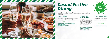## *[Casual Festive](https://brighton.hichristmas.co.uk) Dining*

Whether you're looking to organise a spectacular Christmas dinner for colleagues, a festive lunch for friends or a celebratory feast with loved ones, we've got the perfect event for you.

#### *Festive Lunch*

Our festive lunches are perfect for any occasion, whether you want to spend time with family, friends or work colleagues. Includes a glass of fizz upon arrival and a three-course festive meal.

**Available seven days a week. (subject to availability). Pre-booking essential. Call 03333 209 324 opt 4 to book.**



#### *Pizza and Prosecco*

Pizza and Prosecco = Perfect! Book today so you can enjoy a pizza and a glass of Prosecco each in the relaxed atmosphere of our Open Lobby.

**Fridaus and Sundaus throughout December at 5pm, 6pm and 6:30pm. Available to book online.**

#### **£14.95 per person**

#### *Festive Fizz Afternoon Tea*

Enjoy a festive afternoon tea, including tea & coffee and a refreshing glass of fizz! The perfect treat for anyone to enjoy. It also includes a selection of sandwiches, scones with cream & jam and a mouthwatering slice of seasonal cake.

#### **£18.00 per person**



**From £17.95 per person**

**Available every Tuesday and Thursday throughout December at 12pm, 12:30pm and 1pm. Pre-booking essential, available to book online.** 

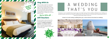We are excited to share with you the amazing gift vouchers we now have available at Holiday Inn Brighton - Seafront. From delightful afternoon teas to overnight break packages, there's a gift for everyone. Give the gift of travel this year!

### *Gift Vouchers* $-$  Up to 20% off  $-$



Christmas is such a wonderful time of year, why not consider having a festive wedding celebration? Our weddings are [available all year round and our fantastic wedding team will work with you to ensure you get everything you desire to](http://www.hibrighton.com/weddings)  make your special day a dream come true.

#### Contact us to start creating a wedding that's you, or click to find out more about our weddings





# A WEDDING THAT'S YOU

### *Stay With Us*

Why not make a night of it and enjoy our special Christmas rates? Room types include standard double, family and twin. Take advantage of up to 20% off our best flexible, bed and breakfast rate. No deposit required and can be cancelled free of charge up to 48 hours prior to arrival.